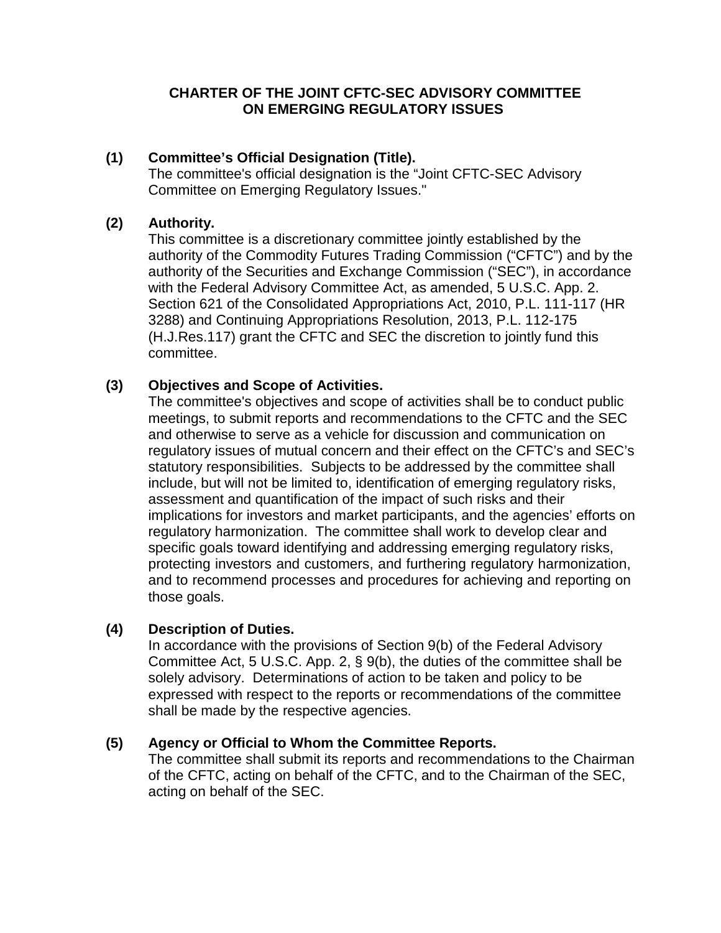### **CHARTER OF THE JOINT CFTC-SEC ADVISORY COMMITTEE ON EMERGING REGULATORY ISSUES**

## **(1) Committee's Official Designation (Title).**

The committee's official designation is the "Joint CFTC-SEC Advisory Committee on Emerging Regulatory Issues."

### **(2) Authority.**

This committee is a discretionary committee jointly established by the authority of the Commodity Futures Trading Commission ("CFTC") and by the authority of the Securities and Exchange Commission ("SEC"), in accordance with the Federal Advisory Committee Act, as amended, 5 U.S.C. App. 2. Section 621 of the Consolidated Appropriations Act, 2010, P.L. 111-117 (HR 3288) and Continuing Appropriations Resolution, 2013, P.L. 112-175 (H.J.Res.117) grant the CFTC and SEC the discretion to jointly fund this committee.

## **(3) Objectives and Scope of Activities.**

The committee's objectives and scope of activities shall be to conduct public meetings, to submit reports and recommendations to the CFTC and the SEC and otherwise to serve as a vehicle for discussion and communication on regulatory issues of mutual concern and their effect on the CFTC's and SEC's statutory responsibilities. Subjects to be addressed by the committee shall include, but will not be limited to, identification of emerging regulatory risks, assessment and quantification of the impact of such risks and their implications for investors and market participants, and the agencies' efforts on regulatory harmonization. The committee shall work to develop clear and specific goals toward identifying and addressing emerging regulatory risks, protecting investors and customers, and furthering regulatory harmonization, and to recommend processes and procedures for achieving and reporting on those goals.

#### **(4) Description of Duties.**

In accordance with the provisions of Section 9(b) of the Federal Advisory Committee Act, 5 U.S.C. App. 2, § 9(b), the duties of the committee shall be solely advisory. Determinations of action to be taken and policy to be expressed with respect to the reports or recommendations of the committee shall be made by the respective agencies.

## **(5) Agency or Official to Whom the Committee Reports.**

The committee shall submit its reports and recommendations to the Chairman of the CFTC, acting on behalf of the CFTC, and to the Chairman of the SEC, acting on behalf of the SEC.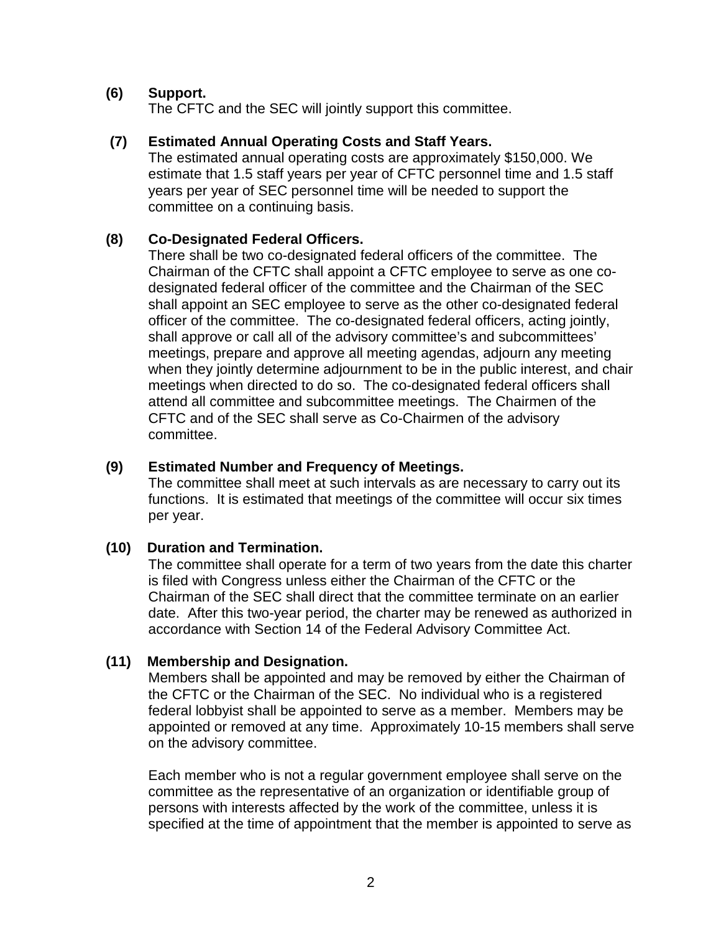### **(6) Support.**

The CFTC and the SEC will jointly support this committee.

#### **(7) Estimated Annual Operating Costs and Staff Years.**

The estimated annual operating costs are approximately \$150,000. We estimate that 1.5 staff years per year of CFTC personnel time and 1.5 staff years per year of SEC personnel time will be needed to support the committee on a continuing basis.

#### **(8) Co-Designated Federal Officers.**

There shall be two co-designated federal officers of the committee. The Chairman of the CFTC shall appoint a CFTC employee to serve as one codesignated federal officer of the committee and the Chairman of the SEC shall appoint an SEC employee to serve as the other co-designated federal officer of the committee. The co-designated federal officers, acting jointly, shall approve or call all of the advisory committee's and subcommittees' meetings, prepare and approve all meeting agendas, adjourn any meeting when they jointly determine adjournment to be in the public interest, and chair meetings when directed to do so. The co-designated federal officers shall attend all committee and subcommittee meetings. The Chairmen of the CFTC and of the SEC shall serve as Co-Chairmen of the advisory committee.

#### **(9) Estimated Number and Frequency of Meetings.**

The committee shall meet at such intervals as are necessary to carry out its functions. It is estimated that meetings of the committee will occur six times per year.

#### **(10) Duration and Termination.**

The committee shall operate for a term of two years from the date this charter is filed with Congress unless either the Chairman of the CFTC or the Chairman of the SEC shall direct that the committee terminate on an earlier date. After this two-year period, the charter may be renewed as authorized in accordance with Section 14 of the Federal Advisory Committee Act.

#### **(11) Membership and Designation.**

Members shall be appointed and may be removed by either the Chairman of the CFTC or the Chairman of the SEC. No individual who is a registered federal lobbyist shall be appointed to serve as a member. Members may be appointed or removed at any time. Approximately 10-15 members shall serve on the advisory committee.

Each member who is not a regular government employee shall serve on the committee as the representative of an organization or identifiable group of persons with interests affected by the work of the committee, unless it is specified at the time of appointment that the member is appointed to serve as